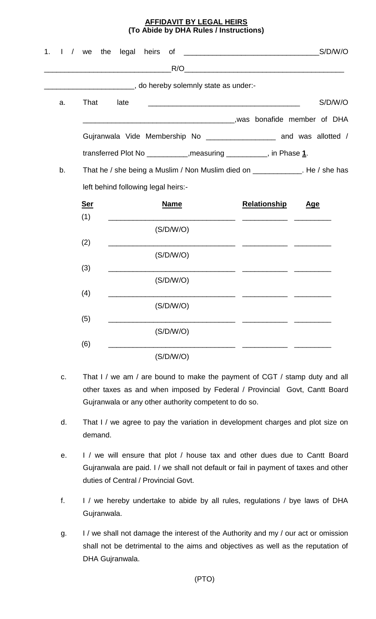## **AFFIDAVIT BY LEGAL HEIRS (To Abide by DHA Rules / Instructions)**

| 1.                                                                                  |    | $1 /$ we                                                                                                                               | legal heirs<br>the | of                                  | <u>S/D/W/O</u>                                                                                                       |            |
|-------------------------------------------------------------------------------------|----|----------------------------------------------------------------------------------------------------------------------------------------|--------------------|-------------------------------------|----------------------------------------------------------------------------------------------------------------------|------------|
|                                                                                     |    |                                                                                                                                        |                    |                                     | R/O                                                                                                                  |            |
|                                                                                     |    |                                                                                                                                        |                    | do hereby solemnly state as under:- |                                                                                                                      |            |
|                                                                                     | a. | That<br>late<br><u> 1989 - Johann John Stone, mars et al. 1989 - John Stone, mars et al. 1989 - John Stone, mars et al. 1989 - Joh</u> |                    |                                     |                                                                                                                      | S/D/W/O    |
|                                                                                     |    |                                                                                                                                        |                    |                                     | was bonafide member of DHA                                                                                           |            |
|                                                                                     |    |                                                                                                                                        |                    |                                     |                                                                                                                      |            |
|                                                                                     |    | transferred Plot No _____________, measuring ____________, in Phase 1.                                                                 |                    |                                     |                                                                                                                      |            |
| That he / she being a Muslim / Non Muslim died on _____________. He / she has<br>b. |    |                                                                                                                                        |                    |                                     |                                                                                                                      |            |
|                                                                                     |    | left behind following legal heirs:-                                                                                                    |                    |                                     |                                                                                                                      |            |
|                                                                                     |    | <b>Ser</b>                                                                                                                             |                    | <b>Name</b>                         | <b>Relationship</b>                                                                                                  | <u>Age</u> |
|                                                                                     |    | (1)                                                                                                                                    |                    |                                     |                                                                                                                      |            |
|                                                                                     |    | (2)                                                                                                                                    |                    | (S/D/W/O)                           |                                                                                                                      |            |
|                                                                                     |    |                                                                                                                                        |                    | (S/D/W/O)                           |                                                                                                                      |            |
|                                                                                     |    | (3)                                                                                                                                    |                    |                                     | <u> 1989 - Jan Sarah Barat, masjid ah barat da ah da ah da ah da ah da ah da ah da ah da ah da ah da ah da ah da</u> |            |
|                                                                                     |    | (4)                                                                                                                                    |                    | (S/D/W/O)                           |                                                                                                                      |            |
|                                                                                     |    |                                                                                                                                        |                    | (S/D/W/O)                           |                                                                                                                      |            |
|                                                                                     |    | (5)                                                                                                                                    |                    |                                     |                                                                                                                      |            |
|                                                                                     |    | (6)                                                                                                                                    |                    | (S/D/W/O)                           |                                                                                                                      |            |
|                                                                                     |    |                                                                                                                                        |                    | (S/D/W/O)                           |                                                                                                                      |            |

- c. That I / we am / are bound to make the payment of CGT / stamp duty and all other taxes as and when imposed by Federal / Provincial Govt, Cantt Board Gujranwala or any other authority competent to do so.
- d. That I / we agree to pay the variation in development charges and plot size on demand.
- e. I / we will ensure that plot / house tax and other dues due to Cantt Board Gujranwala are paid. I / we shall not default or fail in payment of taxes and other duties of Central / Provincial Govt.
- f. I / we hereby undertake to abide by all rules, regulations / bye laws of DHA Gujranwala.
- g. I / we shall not damage the interest of the Authority and my / our act or omission shall not be detrimental to the aims and objectives as well as the reputation of DHA Gujranwala.